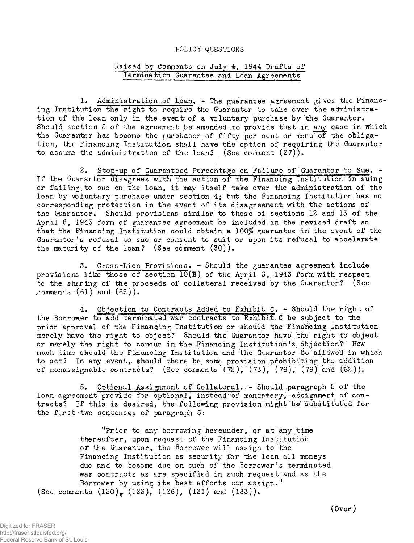## POLICY QUESTIONS

## Raised by Comments on July 4, 1944 Drafts of Termination Guarantee and Loan Agreements

1. Administration of Loan. - The guarantee agreement gives the Financing Institution the right to require the Guarantor to take over the administration of the loan only in the event of a voluntary purchase by the Guarantor. Should section 5 of the agreement be amended to provide that in any case in which the Guarantor has become the purchaser of fifty per cent or more of the obligation, the Financing Institution shall have the option of requiring the Guarantor to assume the administration of the loan? (See comment  $(27)$ ).

2. Step-up of Guaranteed Percentage on Failure of Guarantor to Sue. - If the Guarantor disagrees with the action of the Financing Institution in suing or failing to sue on the loan, it may itself take over the administration of the loan by voluntary purchase under section 4; but the Financing Institution has no corresponding protection in the event of its disagreement with the actions of the Guarantor. Should provisions similar to those of sections 12 and 13 of the April 6, 1943 form of guarantee agreement be included, in the revised draft so that the Financing Institution could obtain a *100%* guarantee in the event of the Guarantor's refusal to sue or consent to suit or upon its refusal to accelerate the maturity of the loan? (See comment (30)).

Cross-Lien Provisions. -Should the guarantee agreement include provisions like those of section  $10(B)$  of the April 6, 1943 form with respect 'to the sharing of the proceeds of collateral received by the Guarantor? (See comments  $(61)$  and  $(62)$ .

4. Objection to Contracts Added to Exhibit C. - Should thé right of the Borrower to add terminated war contracts to Exhibit- C be subject to the prior approval of the Financing Institution or should the Financing Institution merely have the right to abject? Should the Guarantor have the right to object or merely the right to concur in the Financing Institution's objection? How much time should the Financing Institution and the Guarantor be allowed in which to act? In any event, should there be some provision prohibiting the addition of nonassignable contracts? (See comments  $(72)$ ,  $(73)$ ,  $(76)$ ,  $(79)$  and  $(82)$ ).

5. Optional Assignment of Collateral. » Should paragraph 5 of the loan agreement provide for optional, instead of mandatory, assignment of contracts? If this is desired, the following provision might'be' substituted for the first two sentences of paragraph 5:

"Prior to any borrowing hereunder, or at any time thereafter, upon request of the Financing Institution or the Guarantor, the Borrower will assign to the Financing Institution as security for the loan all moneys due and to become due on such of the Borrower's terminated war contracts as are specified in such request and as the Borrower by using its best efforts can assign." (See comments  $(120)$ ,  $(123)$ ,  $(126)$ ,  $(131)$  and  $(133)$ ).

(Over)